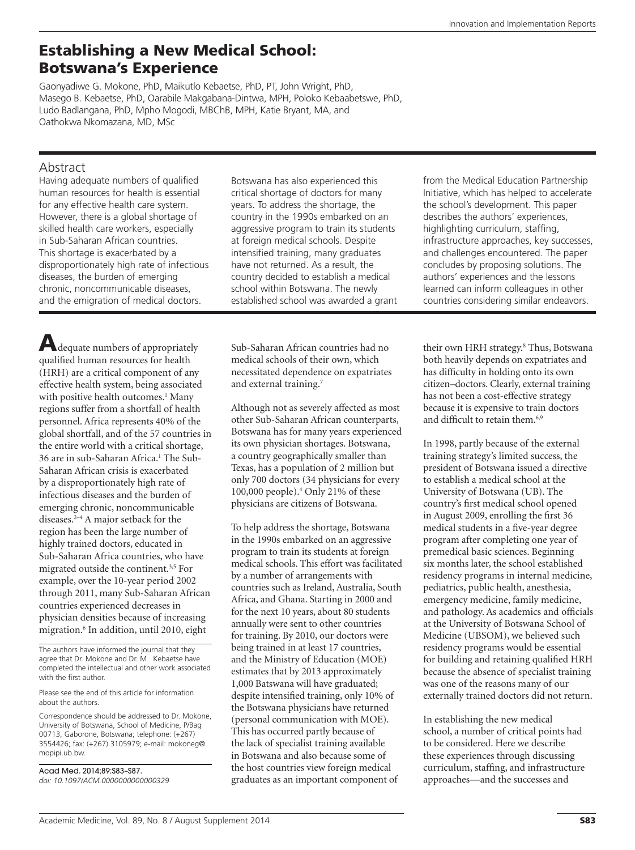# Establishing a New Medical School: Botswana's Experience

Gaonyadiwe G. Mokone, PhD, Maikutlo Kebaetse, PhD, PT, John Wright, PhD, Masego B. Kebaetse, PhD, Oarabile Makgabana-Dintwa, MPH, Poloko Kebaabetswe, PhD, Ludo Badlangana, PhD, Mpho Mogodi, MBChB, MPH, Katie Bryant, MA, and Oathokwa Nkomazana, MD, MSc

### Abstract

Having adequate numbers of qualified human resources for health is essential for any effective health care system. However, there is a global shortage of skilled health care workers, especially in Sub-Saharan African countries. This shortage is exacerbated by a disproportionately high rate of infectious diseases, the burden of emerging chronic, noncommunicable diseases, and the emigration of medical doctors.

Adequate numbers of appropriately qualified human resources for health (HRH) are a critical component of any effective health system, being associated with positive health outcomes.<sup>1</sup> Many regions suffer from a shortfall of health personnel. Africa represents 40% of the global shortfall, and of the 57 countries in the entire world with a critical shortage, 36 are in sub-Saharan Africa.<sup>1</sup> The Sub-Saharan African crisis is exacerbated by a disproportionately high rate of infectious diseases and the burden of emerging chronic, noncommunicable diseases.2–4 A major setback for the region has been the large number of highly trained doctors, educated in Sub-Saharan Africa countries, who have migrated outside the continent.3,5 For example, over the 10-year period 2002 through 2011, many Sub-Saharan African countries experienced decreases in physician densities because of increasing migration.6 In addition, until 2010, eight

The authors have informed the journal that they agree that Dr. Mokone and Dr. M. Kebaetse have completed the intellectual and other work associated with the first author.

Please see the end of this article for information about the authors.

Correspondence should be addressed to Dr. Mokone, University of Botswana, School of Medicine, P/Bag 00713, Gaborone, Botswana; telephone: (+267) 3554426; fax: (+267) 3105979; e-mail: [mokoneg@](mailto:mokoneg@mopipi.ub.bw) [mopipi.ub.bw](mailto:mokoneg@mopipi.ub.bw).

Acad Med. 2014;89:S83–S87. *doi: 10.1097/ACM.0000000000000329* Botswana has also experienced this critical shortage of doctors for many years. To address the shortage, the country in the 1990s embarked on an aggressive program to train its students at foreign medical schools. Despite intensified training, many graduates have not returned. As a result, the country decided to establish a medical school within Botswana. The newly established school was awarded a grant

Sub-Saharan African countries had no medical schools of their own, which necessitated dependence on expatriates and external training.7

Although not as severely affected as most other Sub-Saharan African counterparts, Botswana has for many years experienced its own physician shortages. Botswana, a country geographically smaller than Texas, has a population of 2 million but only 700 doctors (34 physicians for every 100,000 people).4 Only 21% of these physicians are citizens of Botswana.

To help address the shortage, Botswana in the 1990s embarked on an aggressive program to train its students at foreign medical schools. This effort was facilitated by a number of arrangements with countries such as Ireland, Australia, South Africa, and Ghana. Starting in 2000 and for the next 10 years, about 80 students annually were sent to other countries for training. By 2010, our doctors were being trained in at least 17 countries, and the Ministry of Education (MOE) estimates that by 2013 approximately 1,000 Batswana will have graduated; despite intensified training, only 10% of the Botswana physicians have returned (personal communication with MOE). This has occurred partly because of the lack of specialist training available in Botswana and also because some of the host countries view foreign medical graduates as an important component of

from the Medical Education Partnership Initiative, which has helped to accelerate the school's development. This paper describes the authors' experiences, highlighting curriculum, staffing, infrastructure approaches, key successes, and challenges encountered. The paper concludes by proposing solutions. The authors' experiences and the lessons learned can inform colleagues in other countries considering similar endeavors.

their own HRH strategy.<sup>8</sup> Thus, Botswana both heavily depends on expatriates and has difficulty in holding onto its own citizen–doctors. Clearly, external training has not been a cost-effective strategy because it is expensive to train doctors and difficult to retain them.<sup>6,9</sup>

In 1998, partly because of the external training strategy's limited success, the president of Botswana issued a directive to establish a medical school at the University of Botswana (UB). The country's first medical school opened in August 2009, enrolling the first 36 medical students in a five-year degree program after completing one year of premedical basic sciences. Beginning six months later, the school established residency programs in internal medicine, pediatrics, public health, anesthesia, emergency medicine, family medicine, and pathology. As academics and officials at the University of Botswana School of Medicine (UBSOM), we believed such residency programs would be essential for building and retaining qualified HRH because the absence of specialist training was one of the reasons many of our externally trained doctors did not return.

In establishing the new medical school, a number of critical points had to be considered. Here we describe these experiences through discussing curriculum, staffing, and infrastructure approaches—and the successes and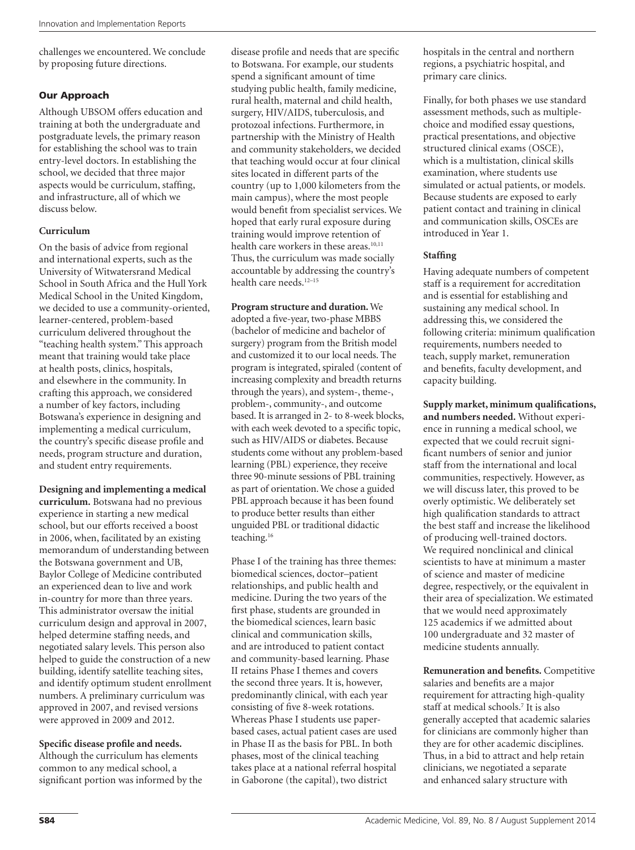challenges we encountered. We conclude by proposing future directions.

### Our Approach

Although UBSOM offers education and training at both the undergraduate and postgraduate levels, the primary reason for establishing the school was to train entry-level doctors. In establishing the school, we decided that three major aspects would be curriculum, staffing, and infrastructure, all of which we discuss below.

#### **Curriculum**

On the basis of advice from regional and international experts, such as the University of Witwatersrand Medical School in South Africa and the Hull York Medical School in the United Kingdom, we decided to use a community-oriented, learner-centered, problem-based curriculum delivered throughout the "teaching health system." This approach meant that training would take place at health posts, clinics, hospitals, and elsewhere in the community. In crafting this approach, we considered a number of key factors, including Botswana's experience in designing and implementing a medical curriculum, the country's specific disease profile and needs, program structure and duration, and student entry requirements.

**Designing and implementing a medical curriculum.** Botswana had no previous experience in starting a new medical school, but our efforts received a boost in 2006, when, facilitated by an existing memorandum of understanding between the Botswana government and UB, Baylor College of Medicine contributed an experienced dean to live and work in-country for more than three years. This administrator oversaw the initial curriculum design and approval in 2007, helped determine staffing needs, and negotiated salary levels. This person also helped to guide the construction of a new building, identify satellite teaching sites, and identify optimum student enrollment numbers. A preliminary curriculum was approved in 2007, and revised versions were approved in 2009 and 2012.

#### **Specific disease profile and needs.**

Although the curriculum has elements common to any medical school, a significant portion was informed by the disease profile and needs that are specific to Botswana. For example, our students spend a significant amount of time studying public health, family medicine, rural health, maternal and child health, surgery, HIV/AIDS, tuberculosis, and protozoal infections. Furthermore, in partnership with the Ministry of Health and community stakeholders, we decided that teaching would occur at four clinical sites located in different parts of the country (up to 1,000 kilometers from the main campus), where the most people would benefit from specialist services. We hoped that early rural exposure during training would improve retention of health care workers in these areas.<sup>10,11</sup> Thus, the curriculum was made socially accountable by addressing the country's health care needs.<sup>12-15</sup>

#### **Program structure and duration.** We

adopted a five-year, two-phase MBBS (bachelor of medicine and bachelor of surgery) program from the British model and customized it to our local needs. The program is integrated, spiraled (content of increasing complexity and breadth returns through the years), and system-, theme-, problem-, community-, and outcome based. It is arranged in 2- to 8-week blocks, with each week devoted to a specific topic, such as HIV/AIDS or diabetes. Because students come without any problem-based learning (PBL) experience, they receive three 90-minute sessions of PBL training as part of orientation. We chose a guided PBL approach because it has been found to produce better results than either unguided PBL or traditional didactic teaching.16

Phase I of the training has three themes: biomedical sciences, doctor–patient relationships, and public health and medicine. During the two years of the first phase, students are grounded in the biomedical sciences, learn basic clinical and communication skills, and are introduced to patient contact and community-based learning. Phase II retains Phase I themes and covers the second three years. It is, however, predominantly clinical, with each year consisting of five 8-week rotations. Whereas Phase I students use paperbased cases, actual patient cases are used in Phase II as the basis for PBL. In both phases, most of the clinical teaching takes place at a national referral hospital in Gaborone (the capital), two district

hospitals in the central and northern regions, a psychiatric hospital, and primary care clinics.

Finally, for both phases we use standard assessment methods, such as multiplechoice and modified essay questions, practical presentations, and objective structured clinical exams (OSCE), which is a multistation, clinical skills examination, where students use simulated or actual patients, or models. Because students are exposed to early patient contact and training in clinical and communication skills, OSCEs are introduced in Year 1.

#### **Staffing**

Having adequate numbers of competent staff is a requirement for accreditation and is essential for establishing and sustaining any medical school. In addressing this, we considered the following criteria: minimum qualification requirements, numbers needed to teach, supply market, remuneration and benefits, faculty development, and capacity building.

**Supply market, minimum qualifications, and numbers needed.** Without experience in running a medical school, we expected that we could recruit significant numbers of senior and junior staff from the international and local communities, respectively. However, as we will discuss later, this proved to be overly optimistic. We deliberately set high qualification standards to attract the best staff and increase the likelihood of producing well-trained doctors. We required nonclinical and clinical scientists to have at minimum a master of science and master of medicine degree, respectively, or the equivalent in their area of specialization. We estimated that we would need approximately 125 academics if we admitted about 100 undergraduate and 32 master of medicine students annually.

**Remuneration and benefits.** Competitive salaries and benefits are a major requirement for attracting high-quality staff at medical schools.7 It is also generally accepted that academic salaries for clinicians are commonly higher than they are for other academic disciplines. Thus, in a bid to attract and help retain clinicians, we negotiated a separate and enhanced salary structure with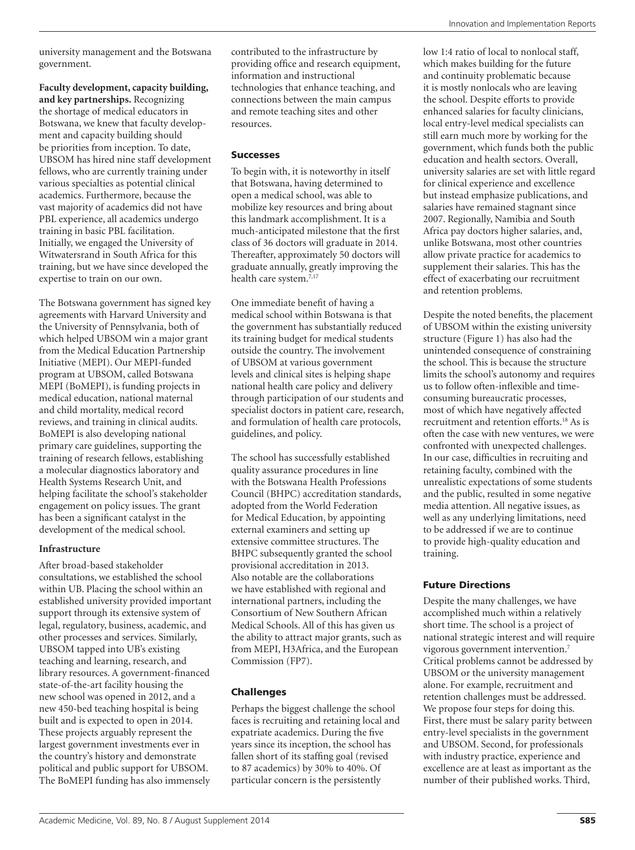university management and the Botswana government.

**Faculty development, capacity building, and key partnerships.** Recognizing the shortage of medical educators in Botswana, we knew that faculty development and capacity building should be priorities from inception. To date, UBSOM has hired nine staff development fellows, who are currently training under various specialties as potential clinical academics. Furthermore, because the vast majority of academics did not have PBL experience, all academics undergo training in basic PBL facilitation. Initially, we engaged the University of Witwatersrand in South Africa for this training, but we have since developed the expertise to train on our own.

The Botswana government has signed key agreements with Harvard University and the University of Pennsylvania, both of which helped UBSOM win a major grant from the Medical Education Partnership Initiative (MEPI). Our MEPI-funded program at UBSOM, called Botswana MEPI (BoMEPI), is funding projects in medical education, national maternal and child mortality, medical record reviews, and training in clinical audits. BoMEPI is also developing national primary care guidelines, supporting the training of research fellows, establishing a molecular diagnostics laboratory and Health Systems Research Unit, and helping facilitate the school's stakeholder engagement on policy issues. The grant has been a significant catalyst in the development of the medical school.

### **Infrastructure**

After broad-based stakeholder consultations, we established the school within UB. Placing the school within an established university provided important support through its extensive system of legal, regulatory, business, academic, and other processes and services. Similarly, UBSOM tapped into UB's existing teaching and learning, research, and library resources. A government-financed state-of-the-art facility housing the new school was opened in 2012, and a new 450-bed teaching hospital is being built and is expected to open in 2014. These projects arguably represent the largest government investments ever in the country's history and demonstrate political and public support for UBSOM. The BoMEPI funding has also immensely contributed to the infrastructure by providing office and research equipment, information and instructional technologies that enhance teaching, and connections between the main campus and remote teaching sites and other resources.

### Successes

To begin with, it is noteworthy in itself that Botswana, having determined to open a medical school, was able to mobilize key resources and bring about this landmark accomplishment. It is a much-anticipated milestone that the first class of 36 doctors will graduate in 2014. Thereafter, approximately 50 doctors will graduate annually, greatly improving the health care system.<sup>7,17</sup>

One immediate benefit of having a medical school within Botswana is that the government has substantially reduced its training budget for medical students outside the country. The involvement of UBSOM at various government levels and clinical sites is helping shape national health care policy and delivery through participation of our students and specialist doctors in patient care, research, and formulation of health care protocols, guidelines, and policy.

The school has successfully established quality assurance procedures in line with the Botswana Health Professions Council (BHPC) accreditation standards, adopted from the World Federation for Medical Education, by appointing external examiners and setting up extensive committee structures. The BHPC subsequently granted the school provisional accreditation in 2013. Also notable are the collaborations we have established with regional and international partners, including the Consortium of New Southern African Medical Schools. All of this has given us the ability to attract major grants, such as from MEPI, H3Africa, and the European Commission (FP7).

## Challenges

Perhaps the biggest challenge the school faces is recruiting and retaining local and expatriate academics. During the five years since its inception, the school has fallen short of its staffing goal (revised to 87 academics) by 30% to 40%. Of particular concern is the persistently

low 1:4 ratio of local to nonlocal staff, which makes building for the future and continuity problematic because it is mostly nonlocals who are leaving the school. Despite efforts to provide enhanced salaries for faculty clinicians, local entry-level medical specialists can still earn much more by working for the government, which funds both the public education and health sectors. Overall, university salaries are set with little regard for clinical experience and excellence but instead emphasize publications, and salaries have remained stagnant since 2007. Regionally, Namibia and South Africa pay doctors higher salaries, and, unlike Botswana, most other countries allow private practice for academics to supplement their salaries. This has the effect of exacerbating our recruitment and retention problems.

Despite the noted benefits, the placement of UBSOM within the existing university structure (Figure 1) has also had the unintended consequence of constraining the school. This is because the structure limits the school's autonomy and requires us to follow often-inflexible and timeconsuming bureaucratic processes, most of which have negatively affected recruitment and retention efforts.18 As is often the case with new ventures, we were confronted with unexpected challenges. In our case, difficulties in recruiting and retaining faculty, combined with the unrealistic expectations of some students and the public, resulted in some negative media attention. All negative issues, as well as any underlying limitations, need to be addressed if we are to continue to provide high-quality education and training.

## Future Directions

Despite the many challenges, we have accomplished much within a relatively short time. The school is a project of national strategic interest and will require vigorous government intervention.7 Critical problems cannot be addressed by UBSOM or the university management alone. For example, recruitment and retention challenges must be addressed. We propose four steps for doing this. First, there must be salary parity between entry-level specialists in the government and UBSOM. Second, for professionals with industry practice, experience and excellence are at least as important as the number of their published works. Third,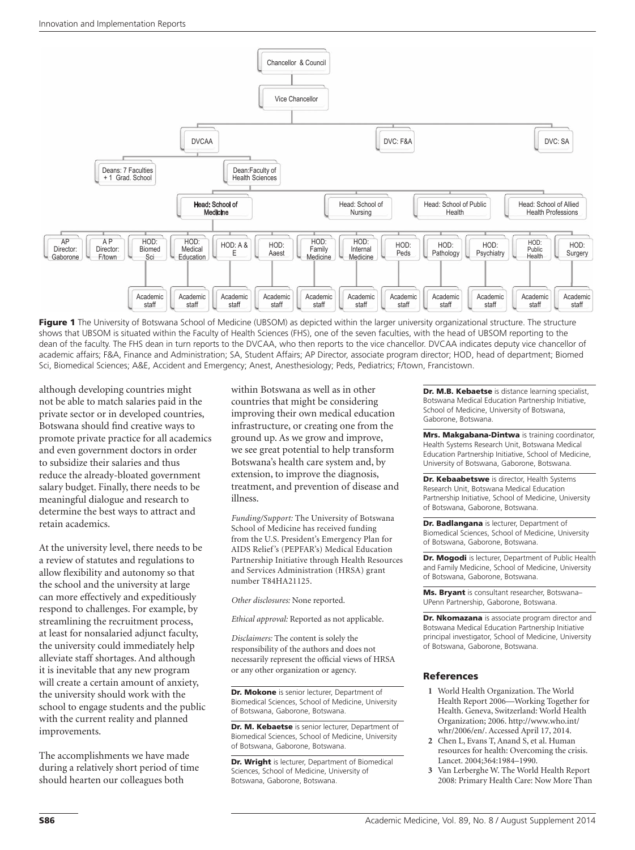

Figure 1 The University of Botswana School of Medicine (UBSOM) as depicted within the larger university organizational structure. The structure shows that UBSOM is situated within the Faculty of Health Sciences (FHS), one of the seven faculties, with the head of UBSOM reporting to the dean of the faculty. The FHS dean in turn reports to the DVCAA, who then reports to the vice chancellor. DVCAA indicates deputy vice chancellor of academic affairs; F&A, Finance and Administration; SA, Student Affairs; AP Director, associate program director; HOD, head of department; Biomed Sci, Biomedical Sciences; A&E, Accident and Emergency; Anest, Anesthesiology; Peds, Pediatrics; F/town, Francistown.

although developing countries might not be able to match salaries paid in the private sector or in developed countries, Botswana should find creative ways to promote private practice for all academics and even government doctors in order to subsidize their salaries and thus reduce the already-bloated government salary budget. Finally, there needs to be meaningful dialogue and research to determine the best ways to attract and retain academics.

At the university level, there needs to be a review of statutes and regulations to allow flexibility and autonomy so that the school and the university at large can more effectively and expeditiously respond to challenges. For example, by streamlining the recruitment process, at least for nonsalaried adjunct faculty, the university could immediately help alleviate staff shortages. And although it is inevitable that any new program will create a certain amount of anxiety, the university should work with the school to engage students and the public with the current reality and planned improvements.

The accomplishments we have made during a relatively short period of time should hearten our colleagues both

within Botswana as well as in other countries that might be considering improving their own medical education infrastructure, or creating one from the ground up. As we grow and improve, we see great potential to help transform Botswana's health care system and, by extension, to improve the diagnosis, treatment, and prevention of disease and illness.

*Funding/Support:* The University of Botswana School of Medicine has received funding from the U.S. President's Emergency Plan for AIDS Relief's (PEPFAR's) Medical Education Partnership Initiative through Health Resources and Services Administration (HRSA) grant number T84HA21125.

*Other disclosures:* None reported.

*Ethical approval:* Reported as not applicable.

*Disclaimers:* The content is solely the responsibility of the authors and does not necessarily represent the official views of HRSA or any other organization or agency.

Dr. Mokone is senior lecturer, Department of Biomedical Sciences, School of Medicine, University of Botswana, Gaborone, Botswana.

Dr. M. Kebaetse is senior lecturer, Department of Biomedical Sciences, School of Medicine, University of Botswana, Gaborone, Botswana.

Dr. Wright is lecturer, Department of Biomedical Sciences, School of Medicine, University of Botswana, Gaborone, Botswana.

Dr. M.B. Kebaetse is distance learning specialist, Botswana Medical Education Partnership Initiative, School of Medicine, University of Botswana, Gaborone, Botswana.

Mrs. Makgabana-Dintwa is training coordinator, Health Systems Research Unit, Botswana Medical Education Partnership Initiative, School of Medicine, University of Botswana, Gaborone, Botswana.

Dr. Kebaabetswe is director, Health Systems Research Unit, Botswana Medical Education Partnership Initiative, School of Medicine, University of Botswana, Gaborone, Botswana.

Dr. Badlangana is lecturer, Department of Biomedical Sciences, School of Medicine, University of Botswana, Gaborone, Botswana.

Dr. Mogodi is lecturer, Department of Public Health and Family Medicine, School of Medicine, University of Botswana, Gaborone, Botswana.

Ms. Bryant is consultant researcher, Botswana-UPenn Partnership, Gaborone, Botswana.

Dr. Nkomazana is associate program director and Botswana Medical Education Partnership Initiative principal investigator, School of Medicine, University of Botswana, Gaborone, Botswana.

#### References

- **1** World Health Organization. The World Health Report 2006—Working Together for Health. Geneva, Switzerland: World Health Organization; 2006. [http://www.who.int/](http://www.who.int/whr/2006/en/) [whr/2006/en/.](http://www.who.int/whr/2006/en/) Accessed April 17, 2014.
- **2** Chen L, Evans T, Anand S, et al. Human resources for health: Overcoming the crisis. Lancet. 2004;364:1984–1990.
- **3** Van Lerberghe W. The World Health Report 2008: Primary Health Care: Now More Than